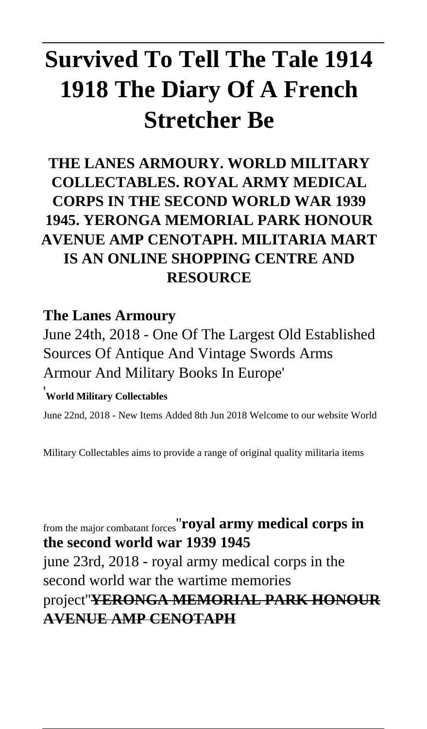# **Survived To Tell The Tale 1914 1918 The Diary Of A French Stretcher Be**

## **THE LANES ARMOURY. WORLD MILITARY COLLECTABLES. ROYAL ARMY MEDICAL CORPS IN THE SECOND WORLD WAR 1939 1945. YERONGA MEMORIAL PARK HONOUR AVENUE AMP CENOTAPH. MILITARIA MART IS AN ONLINE SHOPPING CENTRE AND RESOURCE**

#### **The Lanes Armoury**

June 24th, 2018 - One Of The Largest Old Established Sources Of Antique And Vintage Swords Arms Armour And Military Books In Europe'

#### '**World Military Collectables**

June 22nd, 2018 - New Items Added 8th Jun 2018 Welcome to our website World

Military Collectables aims to provide a range of original quality militaria items

from the major combatant forces''**royal army medical corps in the second world war 1939 1945** june 23rd, 2018 - royal army medical corps in the second world war the wartime memories project''**YERONGA MEMORIAL PARK HONOUR AVENUE AMP CENOTAPH**